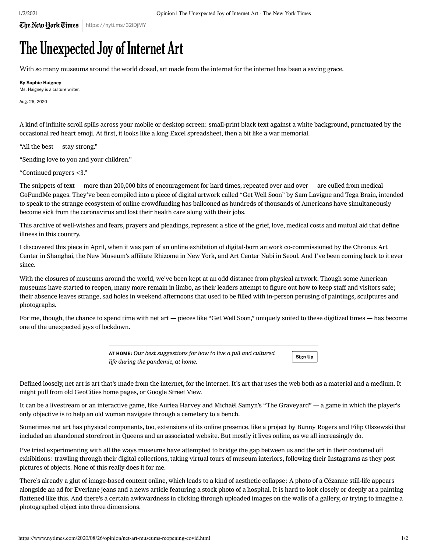## The Unexpected Joy of Internet Art

With so many museums around the world closed, art made from the internet for the internet has been a saving grace.

By Sophie Haigney

Ms. Haigney is a culture writer.

Aug. 26, 2020

A kind of infinite scroll spills across your mobile or desktop screen: small-print black text against a white background, punctuated by the occasional red heart emoji. At first, it looks like a long Excel spreadsheet, then a bit like a war memorial.

"All the best — stay strong."

"Sending love to you and your children."

"Continued prayers <3."

The snippets of text — more than 200,000 bits of encouragement for hard times, repeated over and over — are culled from medical GoFundMe pages. They've been compiled into a piece of digital artwork called ["Get Well Soon](https://t.co/wJ46hS22Zp?amp=1)" by Sam Lavigne and Tega Brain, intended to speak to the strange ecosystem of online crowdfunding has ballooned as hundreds of thousands of Americans have simultaneously become sick from the coronavirus and lost their health care along with their jobs.

This archive of well-wishes and fears, prayers and pleadings, represent a slice of the grief, love, medical costs and mutual aid that define illness in this country.

I discovered this piece in April, when it was part of an online exhibition of digital-born artwork co-commissioned by the Chronus Art Center in Shanghai, the New Museum's affiliate Rhizome in New York, and Art Center Nabi in Seoul. And I've been coming back to it ever since.

With the closures of museums around the world, we've been kept at an odd distance from physical artwork. Though some American museums have started to reopen, many more remain in limbo, as their leaders attempt to figure out how to keep staff and visitors safe; their absence leaves strange, sad holes in weekend afternoons that used to be filled with in-person perusing of paintings, sculptures and photographs.

For me, though, the chance to spend time with net art — pieces like "Get Well Soon," uniquely suited to these digitized times — has become one of the unexpected joys of lockdown.

Sign Up

AT HOME: Our best suggestions for how to live a full and cultured life during the pandemic, at home.

Defined loosely, net art is art that's made from the internet, for the internet. It's art that uses the web both as a material and a medium. It might pull from old GeoCities home pages, or Google Street View.

It can be a livestream or an interactive game, like Auriea Harvey and Michaël Samyn's "The Graveyard" — a game in which the player's only objective is to help an old woman navigate through a cemetery to a bench.

Sometimes net art has physical components, too, extensions of its online presence, like a project by Bunny Rogers and Filip Olszewski that included an abandoned storefront in Queens and an associated website. But mostly it lives online, as we all increasingly do.

I've tried experimenting with all the ways museums have attempted to bridge the gap between us and the art in their cordoned off exhibitions: trawling through their digital collections, taking virtual tours of museum interiors, following their Instagrams as they post pictures of objects. None of this really does it for me.

There's already a glut of image-based content online, which leads to a kind of aesthetic collapse: A photo of a Cézanne still-life appears alongside an ad for Everlane jeans and a news article featuring a stock photo of a hospital. It is hard to look closely or deeply at a painting flattened like this. And there's a certain awkwardness in clicking through uploaded images on the walls of a gallery, or trying to imagine a photographed object into three dimensions.